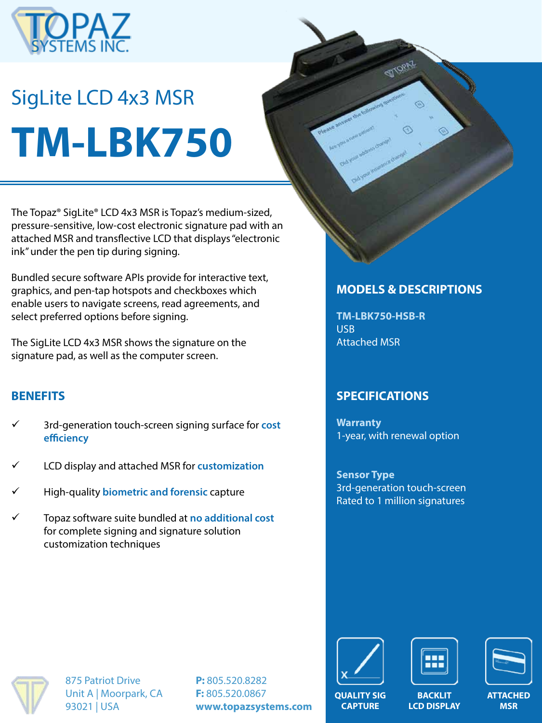

# SigLite LCD 4x3 MSR **TM-LBK750**

The Topaz® SigLite® LCD 4x3 MSR is Topaz's medium-sized, pressure-sensitive, low-cost electronic signature pad with an attached MSR and transflective LCD that displays "electronic ink" under the pen tip during signing.

Bundled secure software APIs provide for interactive text, graphics, and pen-tap hotspots and checkboxes which enable users to navigate screens, read agreements, and select preferred options before signing.

The SigLite LCD 4x3 MSR shows the signature on the signature pad, as well as the computer screen.

#### **BENEFITS**

- ü 3rd-generation touch-screen signing surface for **cost efficiency**
- LCD display and attached MSR for customization
- ü High-quality **biometric and forensic** capture
- ü Topaz software suite bundled at **no additional cost**  for complete signing and signature solution customization techniques

## **MODELS & DESCRIPTIONS**

**TM-LBK750-HSB-R** USB Attached MSR

## **SPECIFICATIONS**

**Warranty** 1-year, with renewal option

**Sensor Type** 3rd-generation touch-screen Rated to 1 million signatures



875 Patriot Drive Unit A | Moorpark, CA 93021 | USA

**P:** 805.520.8282 **F:** 805.520.0867 **www.topazsystems.com**







**MSR**

**QUALITY SIG CAPTURE**

**BACKLIT LCD DISPLAY**